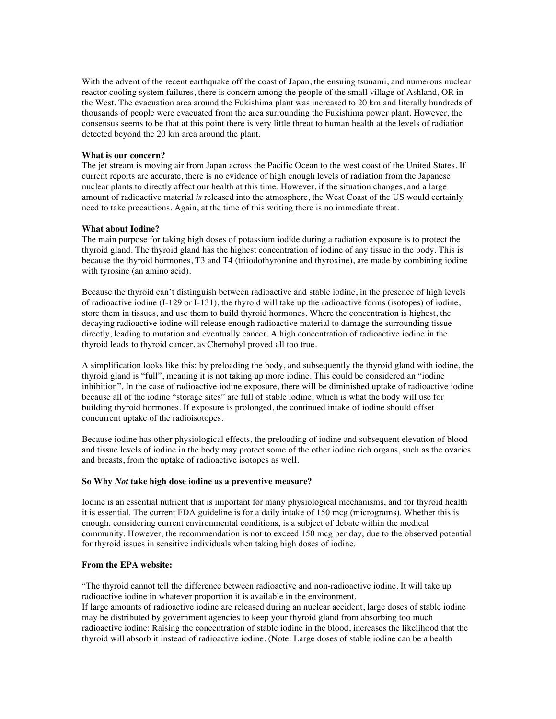With the advent of the recent earthquake off the coast of Japan, the ensuing tsunami, and numerous nuclear reactor cooling system failures, there is concern among the people of the small village of Ashland, OR in the West. The evacuation area around the Fukishima plant was increased to 20 km and literally hundreds of thousands of people were evacuated from the area surrounding the Fukishima power plant. However, the consensus seems to be that at this point there is very little threat to human health at the levels of radiation detected beyond the 20 km area around the plant.

# **What is our concern?**

The jet stream is moving air from Japan across the Pacific Ocean to the west coast of the United States. If current reports are accurate, there is no evidence of high enough levels of radiation from the Japanese nuclear plants to directly affect our health at this time. However, if the situation changes, and a large amount of radioactive material *is* released into the atmosphere, the West Coast of the US would certainly need to take precautions. Again, at the time of this writing there is no immediate threat.

# **What about Iodine?**

The main purpose for taking high doses of potassium iodide during a radiation exposure is to protect the thyroid gland. The thyroid gland has the highest concentration of iodine of any tissue in the body. This is because the thyroid hormones, T3 and T4 (triiodothyronine and thyroxine), are made by combining iodine with tyrosine (an amino acid).

Because the thyroid can't distinguish between radioactive and stable iodine, in the presence of high levels of radioactive iodine (I-129 or I-131), the thyroid will take up the radioactive forms (isotopes) of iodine, store them in tissues, and use them to build thyroid hormones. Where the concentration is highest, the decaying radioactive iodine will release enough radioactive material to damage the surrounding tissue directly, leading to mutation and eventually cancer. A high concentration of radioactive iodine in the thyroid leads to thyroid cancer, as Chernobyl proved all too true.

A simplification looks like this: by preloading the body, and subsequently the thyroid gland with iodine, the thyroid gland is "full", meaning it is not taking up more iodine. This could be considered an "iodine inhibition". In the case of radioactive iodine exposure, there will be diminished uptake of radioactive iodine because all of the iodine "storage sites" are full of stable iodine, which is what the body will use for building thyroid hormones. If exposure is prolonged, the continued intake of iodine should offset concurrent uptake of the radioisotopes.

Because iodine has other physiological effects, the preloading of iodine and subsequent elevation of blood and tissue levels of iodine in the body may protect some of the other iodine rich organs, such as the ovaries and breasts, from the uptake of radioactive isotopes as well.

#### **So Why** *Not* **take high dose iodine as a preventive measure?**

Iodine is an essential nutrient that is important for many physiological mechanisms, and for thyroid health it is essential. The current FDA guideline is for a daily intake of 150 mcg (micrograms). Whether this is enough, considering current environmental conditions, is a subject of debate within the medical community. However, the recommendation is not to exceed 150 mcg per day, due to the observed potential for thyroid issues in sensitive individuals when taking high doses of iodine.

## **From the EPA website:**

"The thyroid cannot tell the difference between radioactive and non-radioactive iodine. It will take up radioactive iodine in whatever proportion it is available in the environment.

If large amounts of radioactive iodine are released during an nuclear accident, large doses of stable iodine may be distributed by government agencies to keep your thyroid gland from absorbing too much radioactive iodine: Raising the concentration of stable iodine in the blood, increases the likelihood that the thyroid will absorb it instead of radioactive iodine. (Note: Large doses of stable iodine can be a health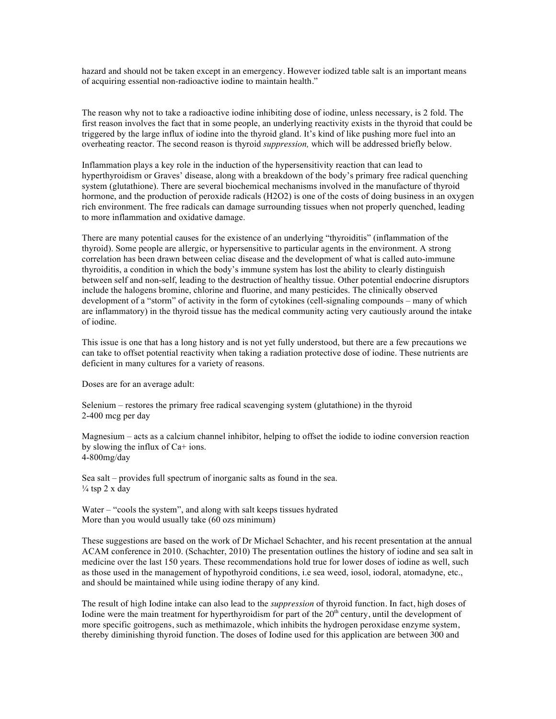hazard and should not be taken except in an emergency. However iodized table salt is an important means of acquiring essential non-radioactive iodine to maintain health."

The reason why not to take a radioactive iodine inhibiting dose of iodine, unless necessary, is 2 fold. The first reason involves the fact that in some people, an underlying reactivity exists in the thyroid that could be triggered by the large influx of iodine into the thyroid gland. It's kind of like pushing more fuel into an overheating reactor. The second reason is thyroid *suppression,* which will be addressed briefly below.

Inflammation plays a key role in the induction of the hypersensitivity reaction that can lead to hyperthyroidism or Graves' disease, along with a breakdown of the body's primary free radical quenching system (glutathione). There are several biochemical mechanisms involved in the manufacture of thyroid hormone, and the production of peroxide radicals (H2O2) is one of the costs of doing business in an oxygen rich environment. The free radicals can damage surrounding tissues when not properly quenched, leading to more inflammation and oxidative damage.

There are many potential causes for the existence of an underlying "thyroiditis" (inflammation of the thyroid). Some people are allergic, or hypersensitive to particular agents in the environment. A strong correlation has been drawn between celiac disease and the development of what is called auto-immune thyroiditis, a condition in which the body's immune system has lost the ability to clearly distinguish between self and non-self, leading to the destruction of healthy tissue. Other potential endocrine disruptors include the halogens bromine, chlorine and fluorine, and many pesticides. The clinically observed development of a "storm" of activity in the form of cytokines (cell-signaling compounds – many of which are inflammatory) in the thyroid tissue has the medical community acting very cautiously around the intake of iodine.

This issue is one that has a long history and is not yet fully understood, but there are a few precautions we can take to offset potential reactivity when taking a radiation protective dose of iodine. These nutrients are deficient in many cultures for a variety of reasons.

Doses are for an average adult:

Selenium – restores the primary free radical scavenging system (glutathione) in the thyroid 2-400 mcg per day

Magnesium – acts as a calcium channel inhibitor, helping to offset the iodide to iodine conversion reaction by slowing the influx of Ca+ ions. 4-800mg/day

Sea salt – provides full spectrum of inorganic salts as found in the sea.  $\frac{1}{4}$  tsp 2 x day

Water – "cools the system", and along with salt keeps tissues hydrated More than you would usually take (60 ozs minimum)

These suggestions are based on the work of Dr Michael Schachter, and his recent presentation at the annual ACAM conference in 2010. (Schachter, 2010) The presentation outlines the history of iodine and sea salt in medicine over the last 150 years. These recommendations hold true for lower doses of iodine as well, such as those used in the management of hypothyroid conditions, i.e sea weed, iosol, iodoral, atomadyne, etc., and should be maintained while using iodine therapy of any kind.

The result of high Iodine intake can also lead to the *suppression* of thyroid function. In fact, high doses of Iodine were the main treatment for hyperthyroidism for part of the 20<sup>th</sup> century, until the development of more specific goitrogens, such as methimazole, which inhibits the hydrogen peroxidase enzyme system, thereby diminishing thyroid function. The doses of Iodine used for this application are between 300 and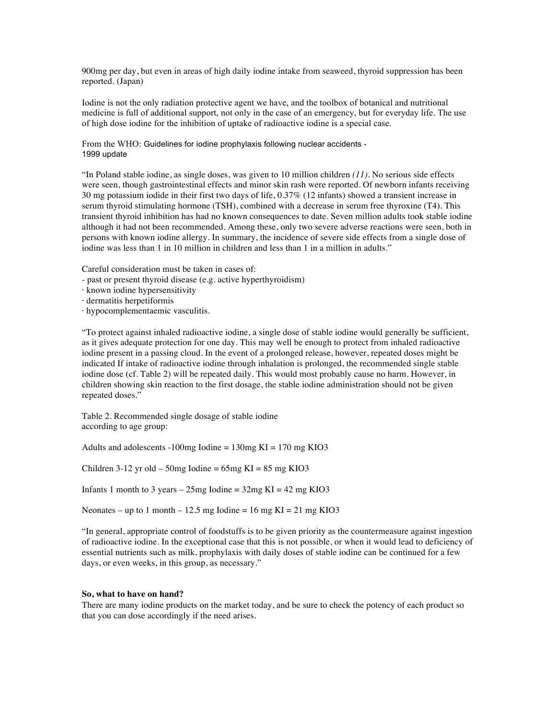900mg per day, but even in areas of high daily iodine intake from seaweed, thyroid suppression has been reported. (Japan)

Iodine is not the only radiation protective agent we have, and the toolbox of botanical and nutritional medicine is full of additional support, not only in the case of an emergency, but for everyday life. The use of high dose iodine for the inhibition of uptake of radioactive iodine is a special case.

From the WHO: Guidelines for iodine prophylaxis following nuclear accidents - 1999 update

"In Poland stable iodine, as single doses, was given to 10 million children *(11)*. No serious side effects were seen, though gastrointestinal effects and minor skin rash were reported. Of newborn infants receiving 30 mg potassium iodide in their first two days of life, 0.37% (12 infants) showed a transient increase in serum thyroid stimulating hormone (TSH), combined with a decrease in serum free thyroxine (T4). This transient thyroid inhibition has had no known consequences to date. Seven million adults took stable iodine although it had not been recommended. Among these, only two severe adverse reactions were seen, both in persons with known iodine allergy. In summary, the incidence of severe side effects from a single dose of iodine was less than 1 in 10 million in children and less than 1 in a million in adults."

Careful consideration must be taken in cases of:

- past or present thyroid disease (e.g. active hyperthyroidism)
- · known iodine hypersensitivity
- · dermatitis herpetiformis
- · hypocomplementaemic vasculitis.

"To protect against inhaled radioactive iodine, a single dose of stable iodine would generally be sufficient, as it gives adequate protection for one day. This may well be enough to protect from inhaled radioactive iodine present in a passing cloud. In the event of a prolonged release, however, repeated doses might be indicated If intake of radioactive iodine through inhalation is prolonged, the recommended single stable iodine dose (cf. Table 2) will be repeated daily. This would most probably cause no harm. However, in children showing skin reaction to the first dosage, the stable iodine administration should not be given repeated doses."

Table 2. Recommended single dosage of stable iodine according to age group:

Adults and adolescents  $-100mg$  Iodine = 130mg KI = 170 mg KIO3

Children  $3-12$  yr old – 50mg Iodine = 65mg KI = 85 mg KIO3

Infants 1 month to 3 years  $-25$ mg Iodine =  $32$ mg KI =  $42$  mg KIO3

Neonates – up to 1 month – 12.5 mg Iodine = 16 mg KI = 21 mg KI  $O$ 3

"In general, appropriate control of foodstuffs is to be given priority as the countermeasure against ingestion of radioactive iodine. In the exceptional case that this is not possible, or when it would lead to deficiency of essential nutrients such as milk, prophylaxis with daily doses of stable iodine can be continued for a few days, or even weeks, in this group, as necessary."

#### **So, what to have on hand?**

There are many iodine products on the market today, and be sure to check the potency of each product so that you can dose accordingly if the need arises.